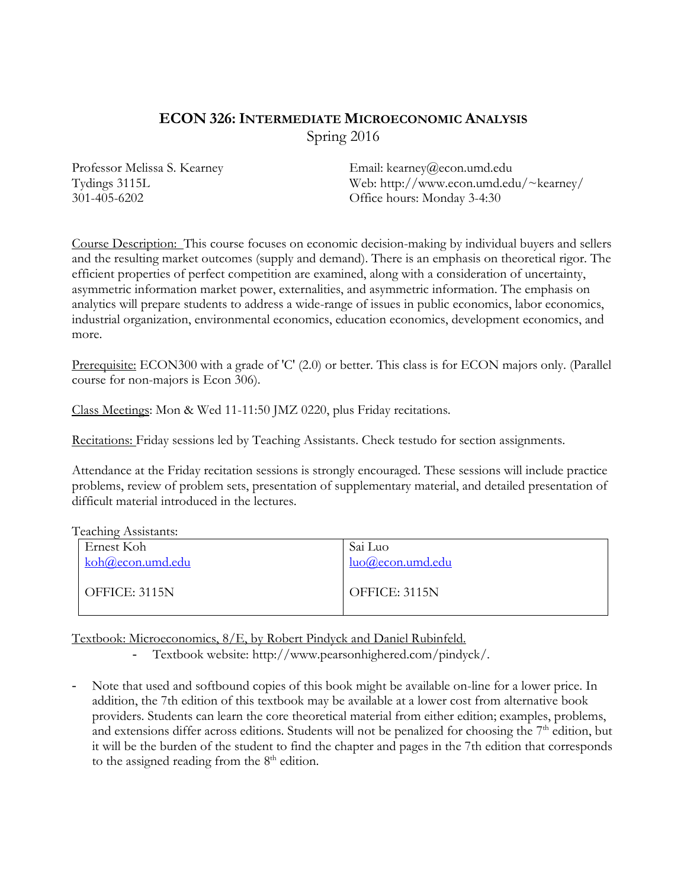# **ECON 326:INTERMEDIATE MICROECONOMIC ANALYSIS** Spring 2016

Professor Melissa S. Kearney Tydings 3115L 301-405-6202

Email: kearney@econ.umd.edu Web:<http://www.econ.umd.edu/~kearney/> Office hours: Monday 3-4:30

Course Description: This course focuses on economic decision-making by individual buyers and sellers and the resulting market outcomes (supply and demand). There is an emphasis on theoretical rigor. The efficient properties of perfect competition are examined, along with a consideration of uncertainty, asymmetric information market power, externalities, and asymmetric information. The emphasis on analytics will prepare students to address a wide-range of issues in public economics, labor economics, industrial organization, environmental economics, education economics, development economics, and more.

Prerequisite: ECON300 with a grade of 'C' (2.0) or better. This class is for ECON majors only. (Parallel course for non-majors is Econ 306).

Class Meetings: Mon & Wed 11-11:50 JMZ 0220, plus Friday recitations.

Recitations: Friday sessions led by Teaching Assistants. Check testudo for section assignments.

Attendance at the Friday recitation sessions is strongly encouraged. These sessions will include practice problems, review of problem sets, presentation of supplementary material, and detailed presentation of difficult material introduced in the lectures.

Teaching Assistants:

| Ernest Koh       | Sai Luo             |
|------------------|---------------------|
| koh@econ.umd.edu | $luo@econ.$ umd.edu |
| OFFICE: 3115N    | OFFICE: 3115N       |
|                  |                     |

Textbook: Microeconomics, 8/E, by Robert Pindyck and Daniel Rubinfeld.

- Textbook website: http://www.pearsonhighered.com/pindyck/.

Note that used and softbound copies of this book might be available on-line for a lower price. In addition, the 7th edition of this textbook may be available at a lower cost from alternative book providers. Students can learn the core theoretical material from either edition; examples, problems, and extensions differ across editions. Students will not be penalized for choosing the  $7<sup>th</sup>$  edition, but it will be the burden of the student to find the chapter and pages in the 7th edition that corresponds to the assigned reading from the  $8<sup>th</sup>$  edition.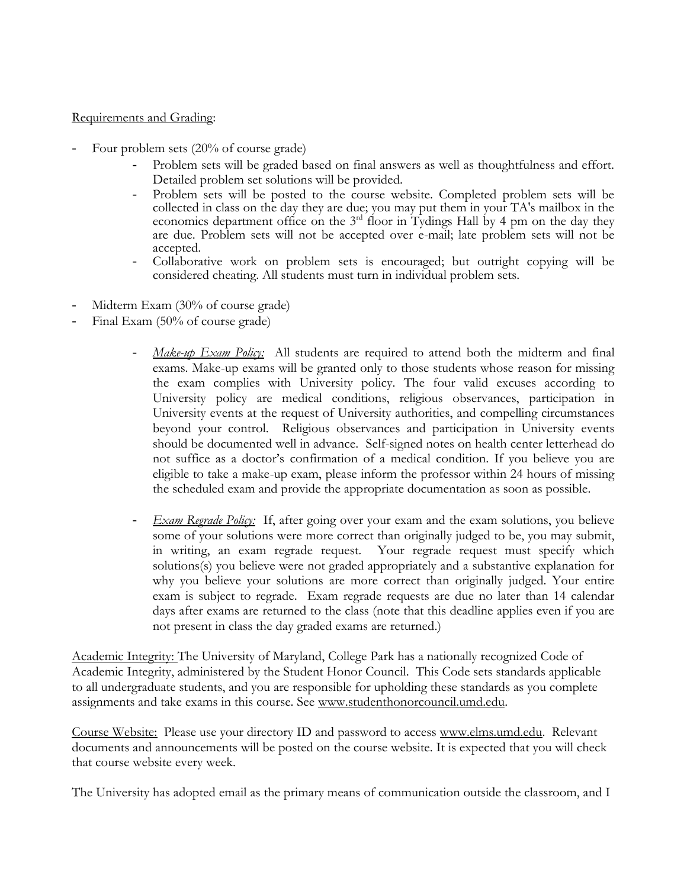#### Requirements and Grading:

- Four problem sets (20% of course grade)
	- Problem sets will be graded based on final answers as well as thoughtfulness and effort. Detailed problem set solutions will be provided.
	- Problem sets will be posted to the course website. Completed problem sets will be collected in class on the day they are due; you may put them in your TA's mailbox in the economics department office on the  $3<sup>rd</sup>$  floor in Tydings Hall by 4 pm on the day they are due. Problem sets will not be accepted over e-mail; late problem sets will not be accepted.
	- Collaborative work on problem sets is encouraged; but outright copying will be considered cheating. All students must turn in individual problem sets.
- Midterm Exam (30% of course grade)
- Final Exam (50% of course grade)
	- *Make-up Exam Policy:* All students are required to attend both the midterm and final exams. Make-up exams will be granted only to those students whose reason for missing the exam complies with University policy. The four valid excuses according to University policy are medical conditions, religious observances, participation in University events at the request of University authorities, and compelling circumstances beyond your control. Religious observances and participation in University events should be documented well in advance. Self-signed notes on health center letterhead do not suffice as a doctor's confirmation of a medical condition. If you believe you are eligible to take a make-up exam, please inform the professor within 24 hours of missing the scheduled exam and provide the appropriate documentation as soon as possible.
	- *Exam Regrade Policy:*If, after going over your exam and the exam solutions, you believe some of your solutions were more correct than originally judged to be, you may submit, in writing, an exam regrade request. Your regrade request must specify which solutions(s) you believe were not graded appropriately and a substantive explanation for why you believe your solutions are more correct than originally judged. Your entire exam is subject to regrade. Exam regrade requests are due no later than 14 calendar days after exams are returned to the class (note that this deadline applies even if you are not present in class the day graded exams are returned.)

Academic Integrity: The University of Maryland, College Park has a nationally recognized Code of Academic Integrity, administered by the Student Honor Council. This Code sets standards applicable to all undergraduate students, and you are responsible for upholding these standards as you complete assignments and take exams in this course. See [www.studenthonorcouncil.umd.edu.](http://www.studenthonorcouncil.umd.edu/)

Course Website: Please use your directory ID and password to access [www.elms.umd.edu.](http://www.elms.umd.edu/) Relevant documents and announcements will be posted on the course website. It is expected that you will check that course website every week.

The University has adopted email as the primary means of communication outside the classroom, and I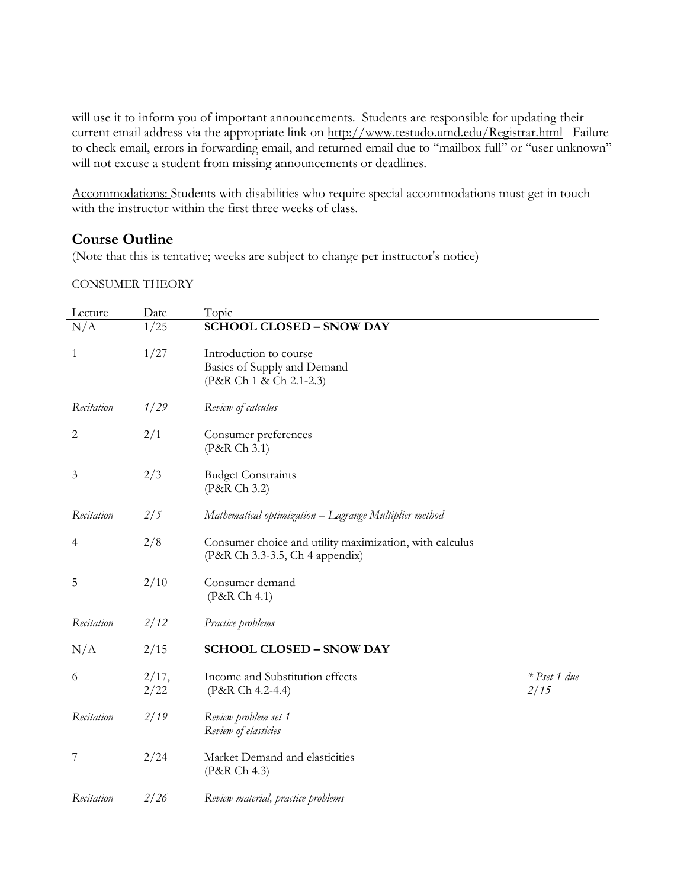will use it to inform you of important announcements. Students are responsible for updating their current email address via the appropriate link on http://www.testudo.umd.edu/Registrar.html Failure to check email, errors in forwarding email, and returned email due to "mailbox full" or "user unknown" will not excuse a student from missing announcements or deadlines.

Accommodations: Students with disabilities who require special accommodations must get in touch with the instructor within the first three weeks of class.

## **Course Outline**

(Note that this is tentative; weeks are subject to change per instructor's notice)

#### CONSUMER THEORY

| Lecture        | Date          | Topic                                                                                      |                        |
|----------------|---------------|--------------------------------------------------------------------------------------------|------------------------|
| N/A            | 1/25          | <b>SCHOOL CLOSED - SNOW DAY</b>                                                            |                        |
| $\mathbf{1}$   | 1/27          | Introduction to course<br>Basics of Supply and Demand<br>(P&R Ch 1 & Ch 2.1-2.3)           |                        |
| Recitation     | 1/29          | Review of calculus                                                                         |                        |
| $\overline{c}$ | 2/1           | Consumer preferences<br>(P&R Ch 3.1)                                                       |                        |
| 3              | 2/3           | <b>Budget Constraints</b><br>(P&R Ch 3.2)                                                  |                        |
| Recitation     | 2/5           | Mathematical optimization - Lagrange Multiplier method                                     |                        |
| 4              | 2/8           | Consumer choice and utility maximization, with calculus<br>(P&R Ch 3.3-3.5, Ch 4 appendix) |                        |
| 5              | 2/10          | Consumer demand<br>(P&R Ch 4.1)                                                            |                        |
| Recitation     | 2/12          | Practice problems                                                                          |                        |
| N/A            | 2/15          | <b>SCHOOL CLOSED - SNOW DAY</b>                                                            |                        |
| 6              | 2/17,<br>2/22 | Income and Substitution effects<br>(P&R Ch 4.2-4.4)                                        | $*$ Pset 1 due<br>2/15 |
| Recitation     | 2/19          | Review problem set 1<br>Review of elasticies                                               |                        |
| 7              | 2/24          | Market Demand and elasticities<br>(P&R Ch 4.3)                                             |                        |
| Recitation     | 2/26          | Review material, practice problems                                                         |                        |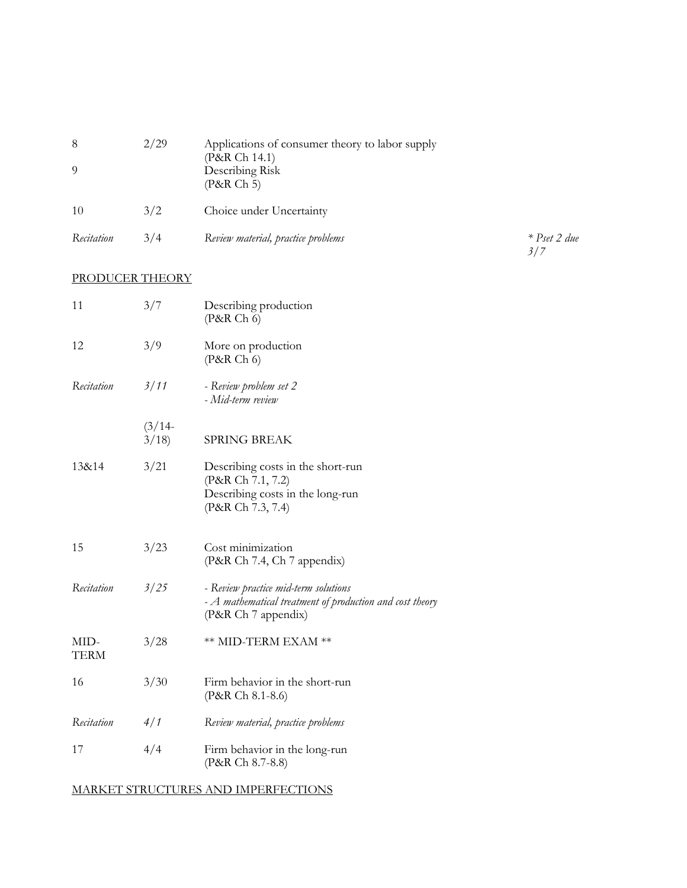|            | 2/29 | Applications of consumer theory to labor supply<br>(P&R Ch 14.1)<br>Describing Risk<br>(P&R Ch 5) |
|------------|------|---------------------------------------------------------------------------------------------------|
| 10         | 3/2  | Choice under Uncertainty                                                                          |
| Recitation | 3/4  | Review material, practice problems                                                                |

*Recitation* 3/4 *Review material, practice problems \* Pset 2 due 3/7*

## PRODUCER THEORY

| 11                  | 3/7               | Describing production<br>(P&R Ch 6)                                                                                     |
|---------------------|-------------------|-------------------------------------------------------------------------------------------------------------------------|
| 12                  | 3/9               | More on production<br>(P&R Ch 6)                                                                                        |
| Recitation          | 3/11              | - Review problem set 2<br>- Mid-term review                                                                             |
|                     | $(3/14 -$<br>3/18 | <b>SPRING BREAK</b>                                                                                                     |
| 13&14               | 3/21              | Describing costs in the short-run<br>(P&R Ch 7.1, 7.2)<br>Describing costs in the long-run<br>(P&R Ch 7.3, 7.4)         |
| 15                  | 3/23              | Cost minimization<br>(P&R Ch 7.4, Ch 7 appendix)                                                                        |
| Recitation          | 3/25              | - Review practice mid-term solutions<br>- A mathematical treatment of production and cost theory<br>(P&R Ch 7 appendix) |
| MID-<br><b>TERM</b> | 3/28              | ** MID-TERM EXAM **                                                                                                     |
| 16                  | 3/30              | Firm behavior in the short-run<br>(P&R Ch 8.1-8.6)                                                                      |
| Recitation          | 4/1               | Review material, practice problems                                                                                      |
| 17                  | 4/4               | Firm behavior in the long-run<br>(P&R Ch 8.7-8.8)                                                                       |

MARKET STRUCTURES AND IMPERFECTIONS